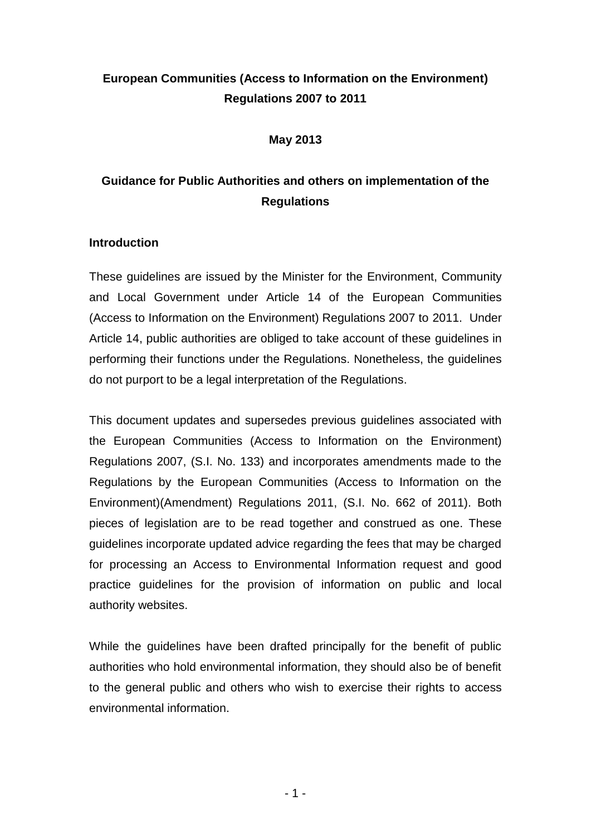# **European Communities (Access to Information on the Environment) Regulations 2007 to 2011**

#### **May 2013**

# **Guidance for Public Authorities and others on implementation of the Regulations**

# **Introduction**

These guidelines are issued by the Minister for the Environment, Community and Local Government under Article 14 of the European Communities (Access to Information on the Environment) Regulations 2007 to 2011. Under Article 14, public authorities are obliged to take account of these guidelines in performing their functions under the Regulations. Nonetheless, the guidelines do not purport to be a legal interpretation of the Regulations.

This document updates and supersedes previous guidelines associated with the European Communities (Access to Information on the Environment) Regulations 2007, (S.I. No. 133) and incorporates amendments made to the Regulations by the European Communities (Access to Information on the Environment)(Amendment) Regulations 2011, (S.I. No. 662 of 2011). Both pieces of legislation are to be read together and construed as one. These guidelines incorporate updated advice regarding the fees that may be charged for processing an Access to Environmental Information request and good practice guidelines for the provision of information on public and local authority websites.

While the guidelines have been drafted principally for the benefit of public authorities who hold environmental information, they should also be of benefit to the general public and others who wish to exercise their rights to access environmental information.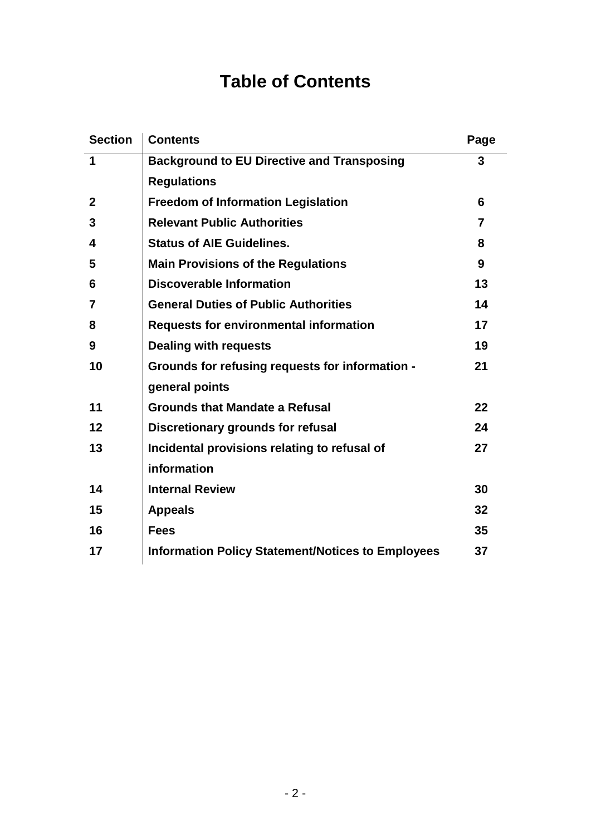# **Table of Contents**

| <b>Section</b> | <b>Contents</b>                                          | Page |
|----------------|----------------------------------------------------------|------|
| 1              | <b>Background to EU Directive and Transposing</b>        | 3    |
|                | <b>Regulations</b>                                       |      |
| $\mathbf{2}$   | <b>Freedom of Information Legislation</b>                | 6    |
| 3              | <b>Relevant Public Authorities</b>                       | 7    |
| 4              | <b>Status of AIE Guidelines.</b>                         | 8    |
| 5              | <b>Main Provisions of the Regulations</b>                | 9    |
| 6              | <b>Discoverable Information</b>                          | 13   |
| 7              | <b>General Duties of Public Authorities</b>              | 14   |
| 8              | <b>Requests for environmental information</b>            | 17   |
| 9              | <b>Dealing with requests</b>                             | 19   |
| 10             | Grounds for refusing requests for information -          | 21   |
|                | general points                                           |      |
| 11             | <b>Grounds that Mandate a Refusal</b>                    | 22   |
| 12             | <b>Discretionary grounds for refusal</b>                 | 24   |
| 13             | Incidental provisions relating to refusal of             | 27   |
|                | information                                              |      |
| 14             | <b>Internal Review</b>                                   | 30   |
| 15             | <b>Appeals</b>                                           | 32   |
| 16             | <b>Fees</b>                                              | 35   |
| 17             | <b>Information Policy Statement/Notices to Employees</b> | 37   |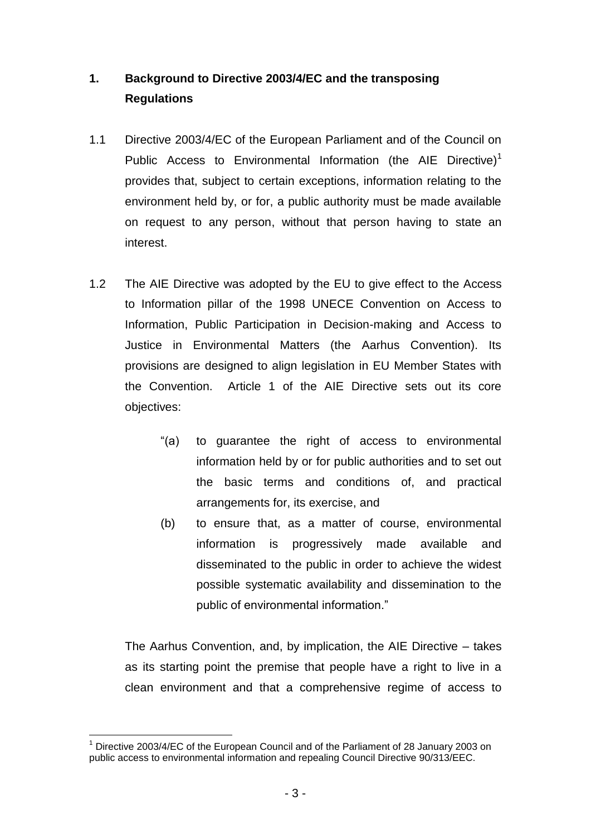# <span id="page-2-0"></span>**1. Background to Directive 2003/4/EC and the transposing Regulations**

- 1.1 Directive 2003/4/EC of the European Parliament and of the Council on Public Access to Environmental Information (the AIE Directive)<sup>1</sup> provides that, subject to certain exceptions, information relating to the environment held by, or for, a public authority must be made available on request to any person, without that person having to state an interest.
- 1.2 The AIE Directive was adopted by the EU to give effect to the Access to Information pillar of the 1998 UNECE Convention on Access to Information, Public Participation in Decision-making and Access to Justice in Environmental Matters (the Aarhus Convention). Its provisions are designed to align legislation in EU Member States with the Convention. Article 1 of the AIE Directive sets out its core objectives:
	- "(a) to guarantee the right of access to environmental information held by or for public authorities and to set out the basic terms and conditions of, and practical arrangements for, its exercise, and
	- (b) to ensure that, as a matter of course, environmental information is progressively made available and disseminated to the public in order to achieve the widest possible systematic availability and dissemination to the public of environmental information."

The Aarhus Convention, and, by implication, the AIE Directive – takes as its starting point the premise that people have a right to live in a clean environment and that a comprehensive regime of access to

l <sup>1</sup> Directive 2003/4/EC of the European Council and of the Parliament of 28 January 2003 on public access to environmental information and repealing Council Directive 90/313/EEC.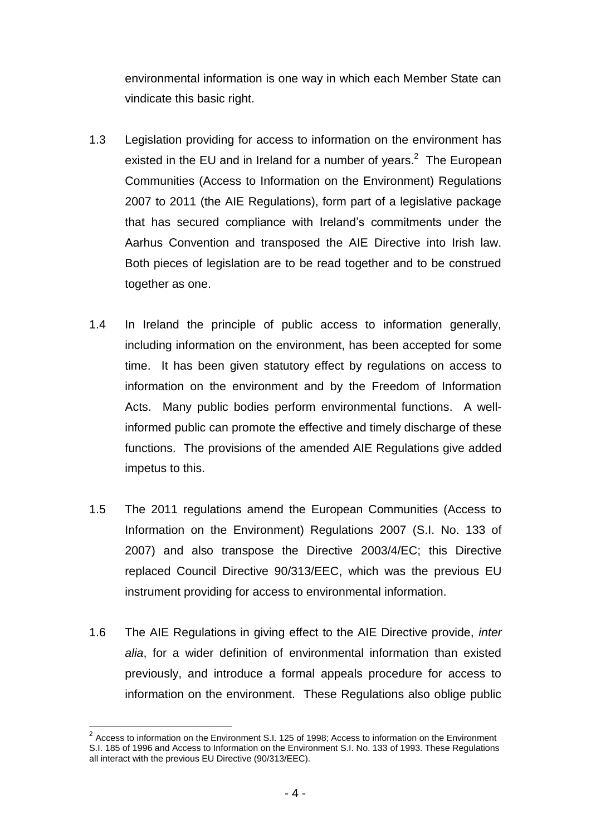environmental information is one way in which each Member State can vindicate this basic right.

- 1.3 Legislation providing for access to information on the environment has existed in the EU and in Ireland for a number of years. $2$  The European Communities (Access to Information on the Environment) Regulations 2007 to 2011 (the AIE Regulations), form part of a legislative package that has secured compliance with Ireland's commitments under the Aarhus Convention and transposed the AIE Directive into Irish law. Both pieces of legislation are to be read together and to be construed together as one.
- 1.4 In Ireland the principle of public access to information generally, including information on the environment, has been accepted for some time. It has been given statutory effect by regulations on access to information on the environment and by the Freedom of Information Acts. Many public bodies perform environmental functions. A wellinformed public can promote the effective and timely discharge of these functions. The provisions of the amended AIE Regulations give added impetus to this.
- 1.5 The 2011 regulations amend the European Communities (Access to Information on the Environment) Regulations 2007 (S.I. No. 133 of 2007) and also transpose the Directive 2003/4/EC; this Directive replaced Council Directive 90/313/EEC, which was the previous EU instrument providing for access to environmental information.
- 1.6 The AIE Regulations in giving effect to the AIE Directive provide, *inter alia*, for a wider definition of environmental information than existed previously, and introduce a formal appeals procedure for access to information on the environment. These Regulations also oblige public

l

 $2$  Access to information on the Environment S.I. 125 of 1998; Access to information on the Environment S.I. 185 of 1996 and Access to Information on the Environment S.I. No. 133 of 1993. These Regulations all interact with the previous EU Directive (90/313/EEC).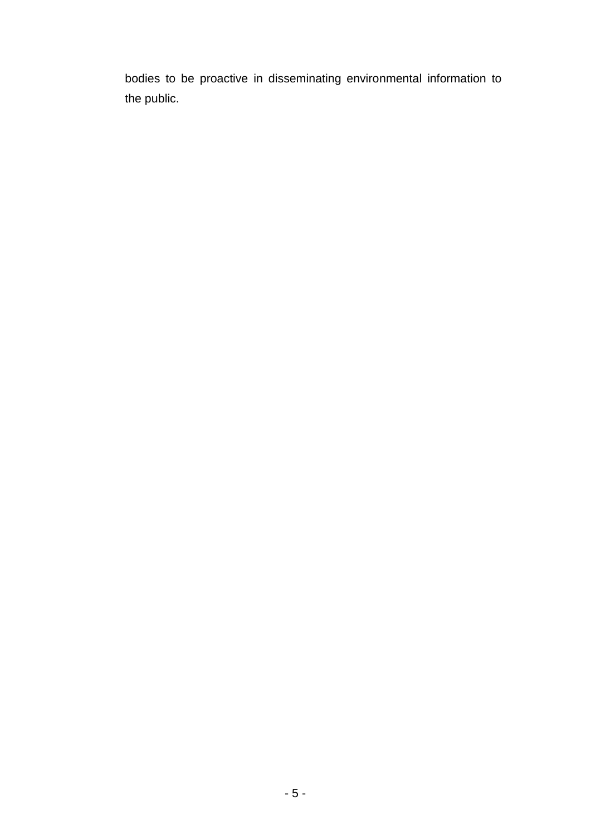bodies to be proactive in disseminating environmental information to the public.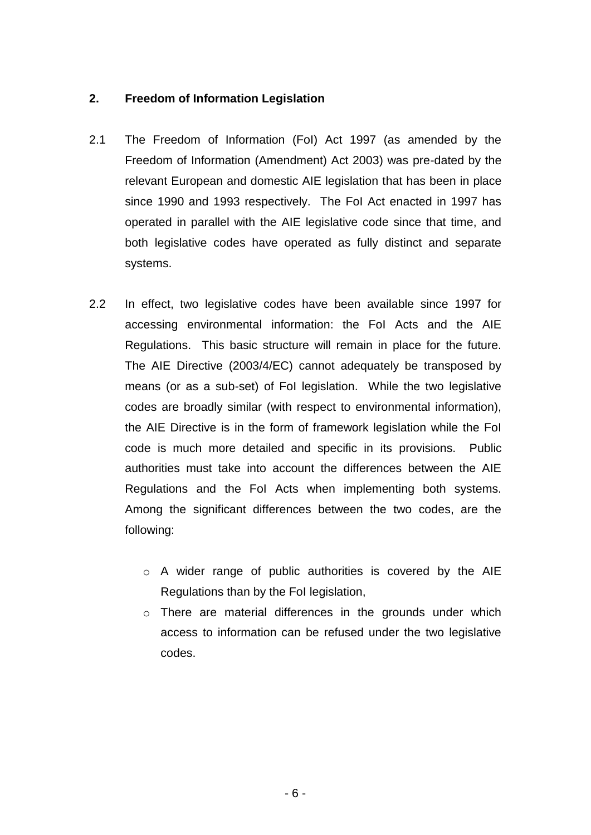# <span id="page-5-0"></span>**2. Freedom of Information Legislation**

- 2.1 The Freedom of Information (FoI) Act 1997 (as amended by the Freedom of Information (Amendment) Act 2003) was pre-dated by the relevant European and domestic AIE legislation that has been in place since 1990 and 1993 respectively. The FoI Act enacted in 1997 has operated in parallel with the AIE legislative code since that time, and both legislative codes have operated as fully distinct and separate systems.
- 2.2 In effect, two legislative codes have been available since 1997 for accessing environmental information: the FoI Acts and the AIE Regulations. This basic structure will remain in place for the future. The AIE Directive (2003/4/EC) cannot adequately be transposed by means (or as a sub-set) of FoI legislation. While the two legislative codes are broadly similar (with respect to environmental information), the AIE Directive is in the form of framework legislation while the FoI code is much more detailed and specific in its provisions. Public authorities must take into account the differences between the AIE Regulations and the FoI Acts when implementing both systems. Among the significant differences between the two codes, are the following:
	- o A wider range of public authorities is covered by the AIE Regulations than by the FoI legislation,
	- o There are material differences in the grounds under which access to information can be refused under the two legislative codes.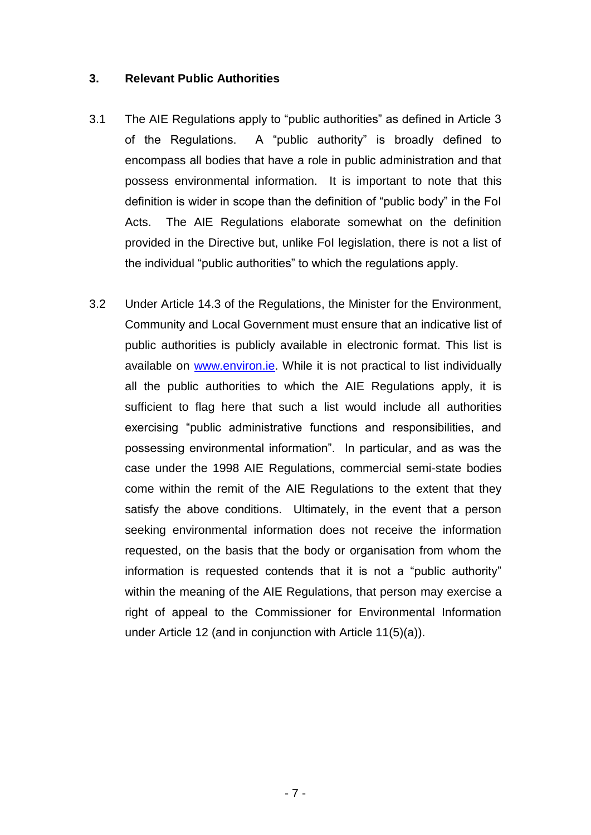#### <span id="page-6-0"></span>**3. Relevant Public Authorities**

- 3.1 The AIE Regulations apply to "public authorities" as defined in Article 3 of the Regulations. A "public authority" is broadly defined to encompass all bodies that have a role in public administration and that possess environmental information. It is important to note that this definition is wider in scope than the definition of "public body" in the FoI Acts. The AIE Regulations elaborate somewhat on the definition provided in the Directive but, unlike FoI legislation, there is not a list of the individual "public authorities" to which the regulations apply.
- 3.2 Under Article 14.3 of the Regulations, the Minister for the Environment, Community and Local Government must ensure that an indicative list of public authorities is publicly available in electronic format. This list is available on [www.environ.ie.](http://www.environ.ie/) While it is not practical to list individually all the public authorities to which the AIE Regulations apply, it is sufficient to flag here that such a list would include all authorities exercising "public administrative functions and responsibilities, and possessing environmental information". In particular, and as was the case under the 1998 AIE Regulations, commercial semi-state bodies come within the remit of the AIE Regulations to the extent that they satisfy the above conditions. Ultimately, in the event that a person seeking environmental information does not receive the information requested, on the basis that the body or organisation from whom the information is requested contends that it is not a "public authority" within the meaning of the AIE Regulations, that person may exercise a right of appeal to the Commissioner for Environmental Information under Article 12 (and in conjunction with Article 11(5)(a)).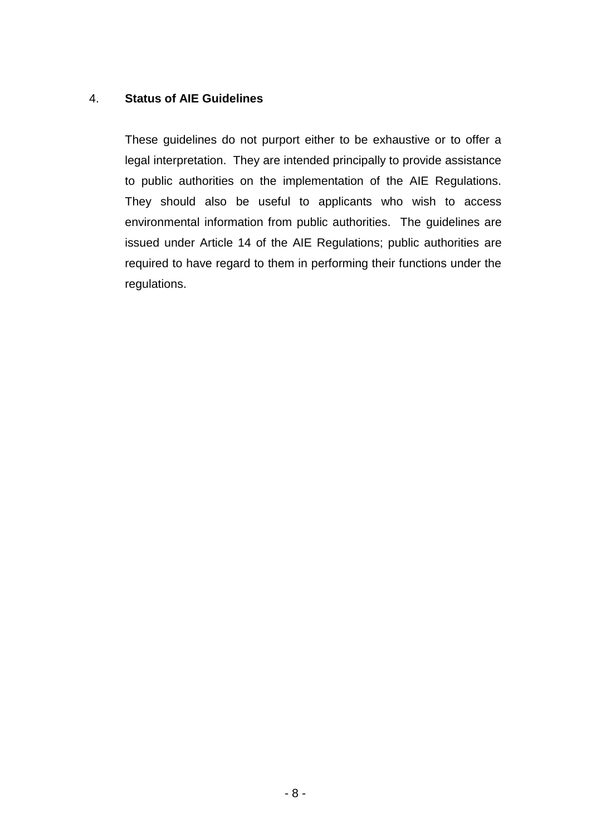# <span id="page-7-0"></span>4. **Status of AIE Guidelines**

These guidelines do not purport either to be exhaustive or to offer a legal interpretation. They are intended principally to provide assistance to public authorities on the implementation of the AIE Regulations. They should also be useful to applicants who wish to access environmental information from public authorities. The guidelines are issued under Article 14 of the AIE Regulations; public authorities are required to have regard to them in performing their functions under the regulations.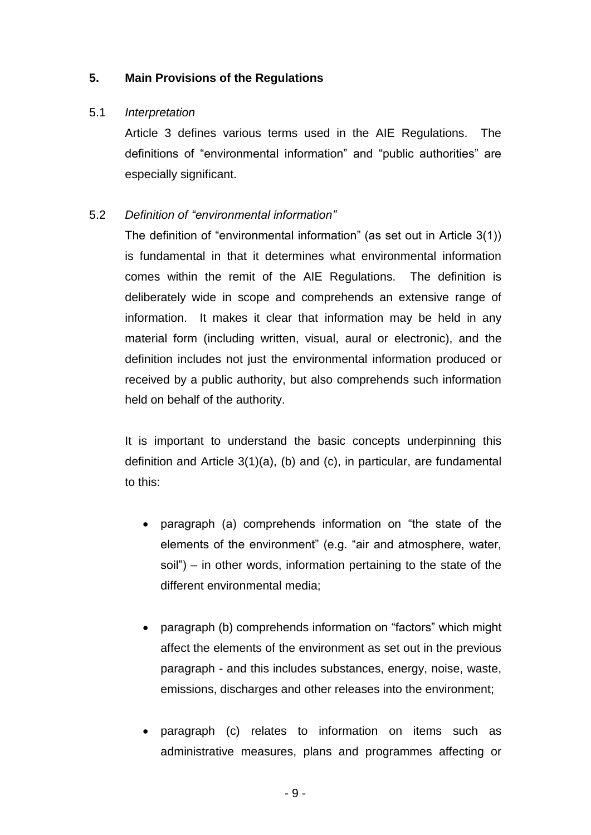# <span id="page-8-0"></span>**5. Main Provisions of the Regulations**

# 5.1 *Interpretation*

Article 3 defines various terms used in the AIE Regulations. The definitions of "environmental information" and "public authorities" are especially significant.

# 5.2 *Definition of "environmental information"*

The definition of "environmental information" (as set out in Article 3(1)) is fundamental in that it determines what environmental information comes within the remit of the AIE Regulations. The definition is deliberately wide in scope and comprehends an extensive range of information. It makes it clear that information may be held in any material form (including written, visual, aural or electronic), and the definition includes not just the environmental information produced or received by a public authority, but also comprehends such information held on behalf of the authority.

It is important to understand the basic concepts underpinning this definition and Article 3(1)(a), (b) and (c), in particular, are fundamental to this:

- paragraph (a) comprehends information on "the state of the elements of the environment" (e.g. "air and atmosphere, water, soil") – in other words, information pertaining to the state of the different environmental media;
- paragraph (b) comprehends information on "factors" which might affect the elements of the environment as set out in the previous paragraph - and this includes substances, energy, noise, waste, emissions, discharges and other releases into the environment;
- paragraph (c) relates to information on items such as administrative measures, plans and programmes affecting or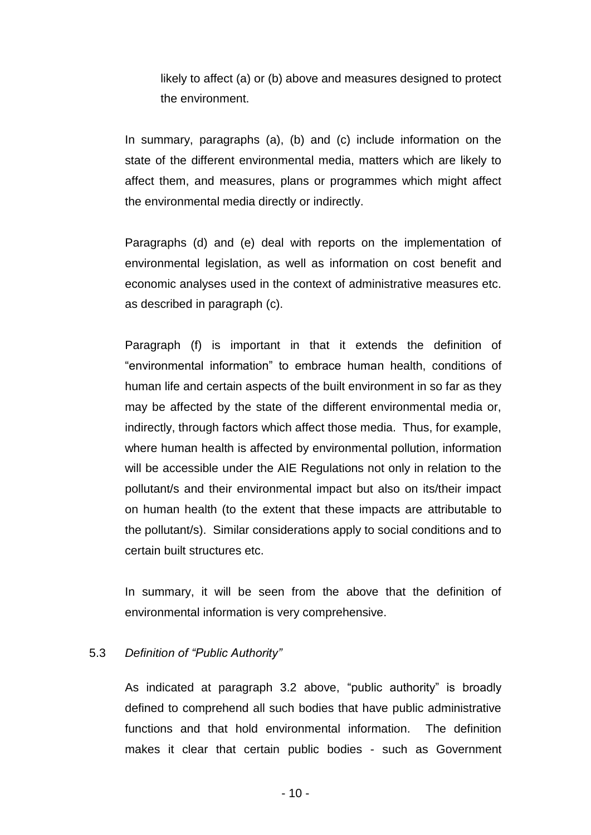likely to affect (a) or (b) above and measures designed to protect the environment.

In summary, paragraphs (a), (b) and (c) include information on the state of the different environmental media, matters which are likely to affect them, and measures, plans or programmes which might affect the environmental media directly or indirectly.

Paragraphs (d) and (e) deal with reports on the implementation of environmental legislation, as well as information on cost benefit and economic analyses used in the context of administrative measures etc. as described in paragraph (c).

Paragraph (f) is important in that it extends the definition of "environmental information" to embrace human health, conditions of human life and certain aspects of the built environment in so far as they may be affected by the state of the different environmental media or, indirectly, through factors which affect those media. Thus, for example, where human health is affected by environmental pollution, information will be accessible under the AIE Regulations not only in relation to the pollutant/s and their environmental impact but also on its/their impact on human health (to the extent that these impacts are attributable to the pollutant/s). Similar considerations apply to social conditions and to certain built structures etc.

In summary, it will be seen from the above that the definition of environmental information is very comprehensive.

#### 5.3 *Definition of "Public Authority"*

As indicated at paragraph 3.2 above, "public authority" is broadly defined to comprehend all such bodies that have public administrative functions and that hold environmental information. The definition makes it clear that certain public bodies - such as Government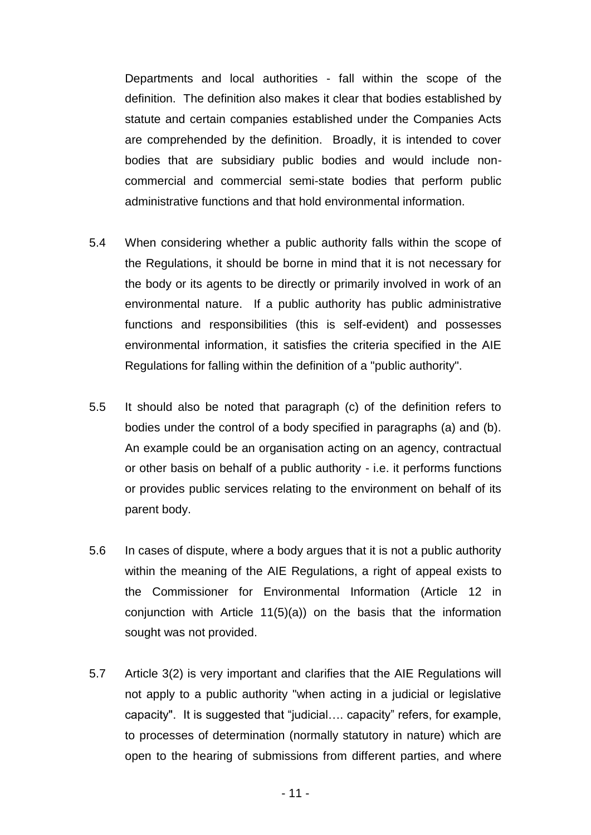Departments and local authorities - fall within the scope of the definition. The definition also makes it clear that bodies established by statute and certain companies established under the Companies Acts are comprehended by the definition. Broadly, it is intended to cover bodies that are subsidiary public bodies and would include noncommercial and commercial semi-state bodies that perform public administrative functions and that hold environmental information.

- 5.4 When considering whether a public authority falls within the scope of the Regulations, it should be borne in mind that it is not necessary for the body or its agents to be directly or primarily involved in work of an environmental nature. If a public authority has public administrative functions and responsibilities (this is self-evident) and possesses environmental information, it satisfies the criteria specified in the AIE Regulations for falling within the definition of a "public authority".
- 5.5 It should also be noted that paragraph (c) of the definition refers to bodies under the control of a body specified in paragraphs (a) and (b). An example could be an organisation acting on an agency, contractual or other basis on behalf of a public authority - i.e. it performs functions or provides public services relating to the environment on behalf of its parent body.
- 5.6 In cases of dispute, where a body argues that it is not a public authority within the meaning of the AIE Regulations, a right of appeal exists to the Commissioner for Environmental Information (Article 12 in conjunction with Article 11(5)(a)) on the basis that the information sought was not provided.
- 5.7 Article 3(2) is very important and clarifies that the AIE Regulations will not apply to a public authority "when acting in a judicial or legislative capacity". It is suggested that "judicial…. capacity" refers, for example, to processes of determination (normally statutory in nature) which are open to the hearing of submissions from different parties, and where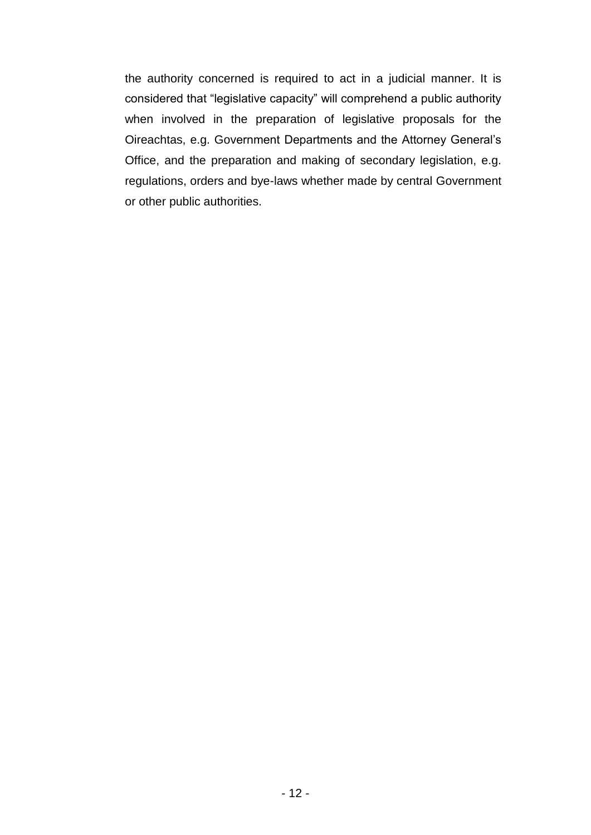the authority concerned is required to act in a judicial manner. It is considered that "legislative capacity" will comprehend a public authority when involved in the preparation of legislative proposals for the Oireachtas, e.g. Government Departments and the Attorney General's Office, and the preparation and making of secondary legislation, e.g. regulations, orders and bye-laws whether made by central Government or other public authorities.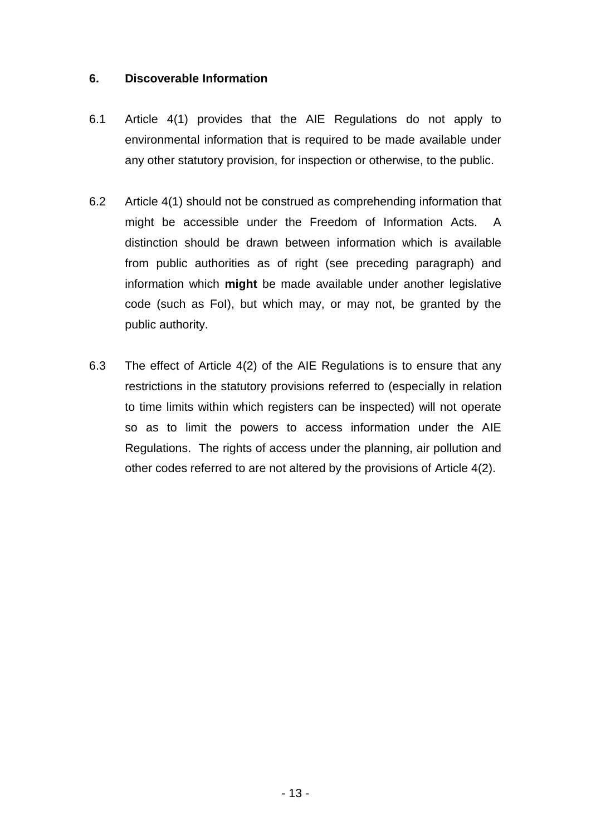#### <span id="page-12-0"></span>**6. Discoverable Information**

- 6.1 Article 4(1) provides that the AIE Regulations do not apply to environmental information that is required to be made available under any other statutory provision, for inspection or otherwise, to the public.
- 6.2 Article 4(1) should not be construed as comprehending information that might be accessible under the Freedom of Information Acts. A distinction should be drawn between information which is available from public authorities as of right (see preceding paragraph) and information which **might** be made available under another legislative code (such as FoI), but which may, or may not, be granted by the public authority.
- 6.3 The effect of Article 4(2) of the AIE Regulations is to ensure that any restrictions in the statutory provisions referred to (especially in relation to time limits within which registers can be inspected) will not operate so as to limit the powers to access information under the AIE Regulations. The rights of access under the planning, air pollution and other codes referred to are not altered by the provisions of Article 4(2).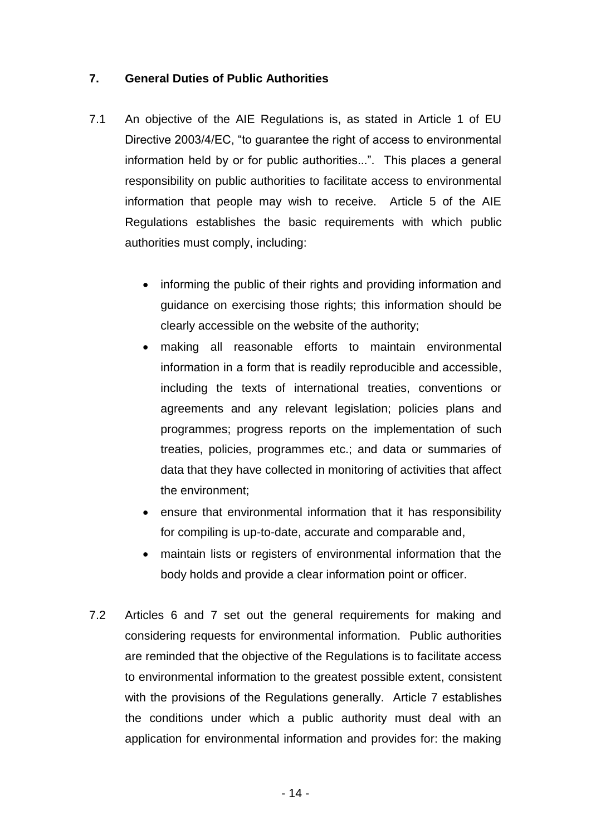# <span id="page-13-0"></span>**7. General Duties of Public Authorities**

- 7.1 An objective of the AIE Regulations is, as stated in Article 1 of EU Directive 2003/4/EC, "to guarantee the right of access to environmental information held by or for public authorities...". This places a general responsibility on public authorities to facilitate access to environmental information that people may wish to receive. Article 5 of the AIE Regulations establishes the basic requirements with which public authorities must comply, including:
	- informing the public of their rights and providing information and guidance on exercising those rights; this information should be clearly accessible on the website of the authority;
	- making all reasonable efforts to maintain environmental information in a form that is readily reproducible and accessible, including the texts of international treaties, conventions or agreements and any relevant legislation; policies plans and programmes; progress reports on the implementation of such treaties, policies, programmes etc.; and data or summaries of data that they have collected in monitoring of activities that affect the environment;
	- ensure that environmental information that it has responsibility for compiling is up-to-date, accurate and comparable and,
	- maintain lists or registers of environmental information that the body holds and provide a clear information point or officer.
- 7.2 Articles 6 and 7 set out the general requirements for making and considering requests for environmental information. Public authorities are reminded that the objective of the Regulations is to facilitate access to environmental information to the greatest possible extent, consistent with the provisions of the Regulations generally. Article 7 establishes the conditions under which a public authority must deal with an application for environmental information and provides for: the making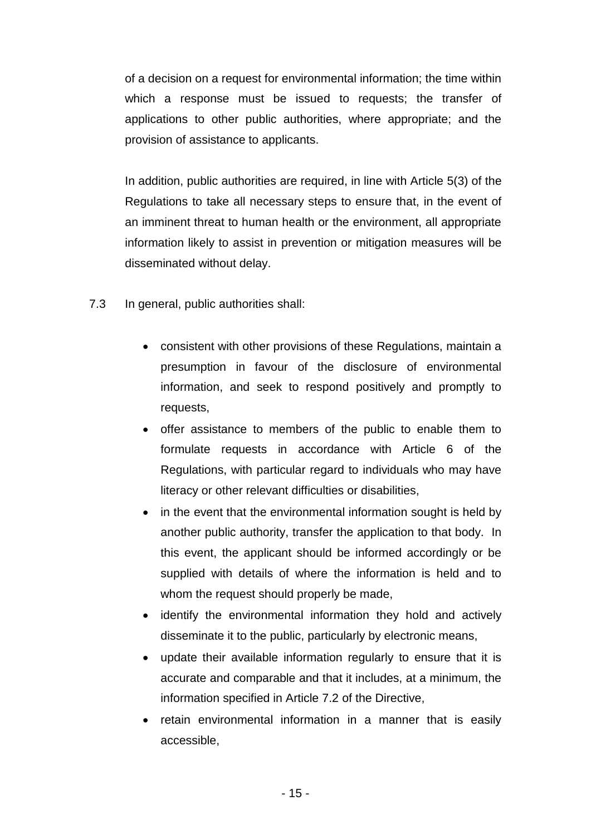of a decision on a request for environmental information; the time within which a response must be issued to requests; the transfer of applications to other public authorities, where appropriate; and the provision of assistance to applicants.

In addition, public authorities are required, in line with Article 5(3) of the Regulations to take all necessary steps to ensure that, in the event of an imminent threat to human health or the environment, all appropriate information likely to assist in prevention or mitigation measures will be disseminated without delay.

- 7.3 In general, public authorities shall:
	- consistent with other provisions of these Regulations, maintain a presumption in favour of the disclosure of environmental information, and seek to respond positively and promptly to requests,
	- offer assistance to members of the public to enable them to formulate requests in accordance with Article 6 of the Regulations, with particular regard to individuals who may have literacy or other relevant difficulties or disabilities,
	- in the event that the environmental information sought is held by another public authority, transfer the application to that body. In this event, the applicant should be informed accordingly or be supplied with details of where the information is held and to whom the request should properly be made,
	- identify the environmental information they hold and actively disseminate it to the public, particularly by electronic means,
	- update their available information regularly to ensure that it is accurate and comparable and that it includes, at a minimum, the information specified in Article 7.2 of the Directive,
	- retain environmental information in a manner that is easily accessible,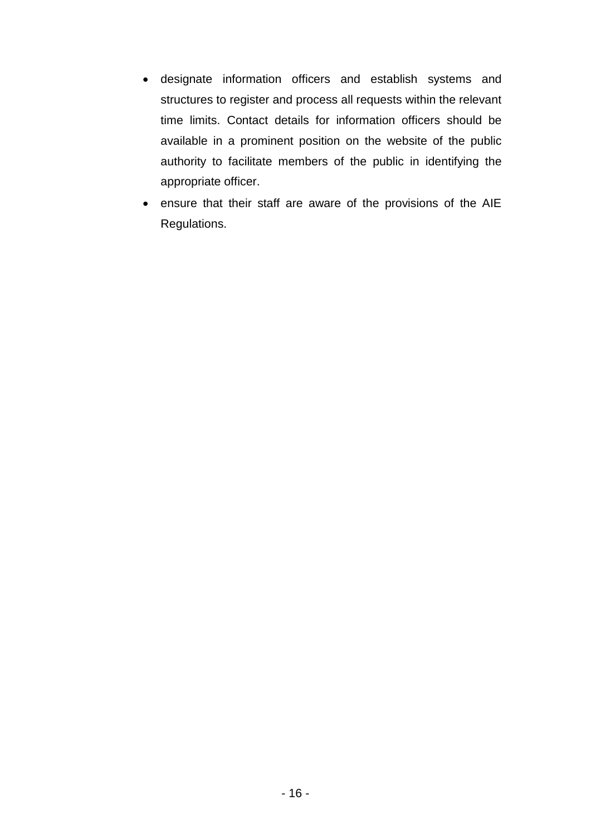- designate information officers and establish systems and structures to register and process all requests within the relevant time limits. Contact details for information officers should be available in a prominent position on the website of the public authority to facilitate members of the public in identifying the appropriate officer.
- ensure that their staff are aware of the provisions of the AIE Regulations.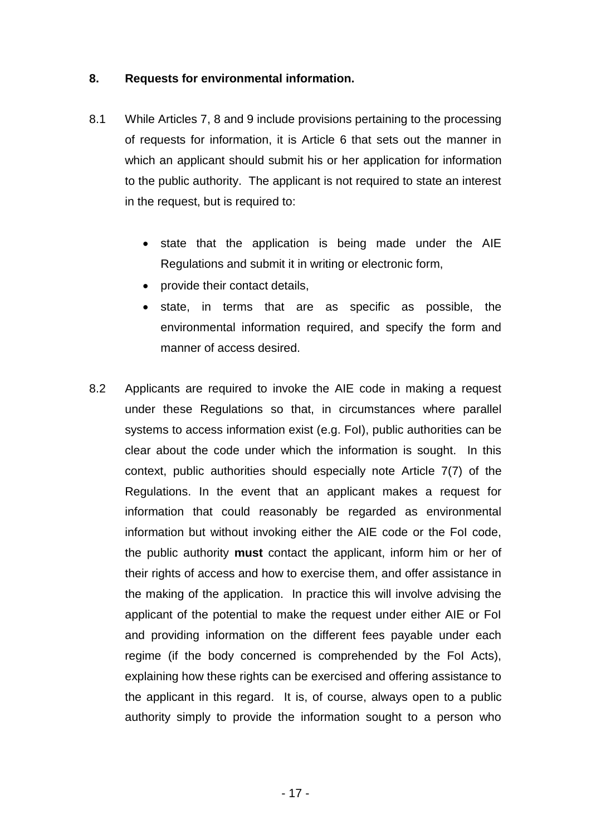# <span id="page-16-0"></span>**8. Requests for environmental information.**

- 8.1 While Articles 7, 8 and 9 include provisions pertaining to the processing of requests for information, it is Article 6 that sets out the manner in which an applicant should submit his or her application for information to the public authority. The applicant is not required to state an interest in the request, but is required to:
	- state that the application is being made under the AIE Regulations and submit it in writing or electronic form,
	- provide their contact details,
	- state, in terms that are as specific as possible, the environmental information required, and specify the form and manner of access desired.
- 8.2 Applicants are required to invoke the AIE code in making a request under these Regulations so that, in circumstances where parallel systems to access information exist (e.g. FoI), public authorities can be clear about the code under which the information is sought. In this context, public authorities should especially note Article 7(7) of the Regulations. In the event that an applicant makes a request for information that could reasonably be regarded as environmental information but without invoking either the AIE code or the FoI code, the public authority **must** contact the applicant, inform him or her of their rights of access and how to exercise them, and offer assistance in the making of the application. In practice this will involve advising the applicant of the potential to make the request under either AIE or FoI and providing information on the different fees payable under each regime (if the body concerned is comprehended by the FoI Acts), explaining how these rights can be exercised and offering assistance to the applicant in this regard. It is, of course, always open to a public authority simply to provide the information sought to a person who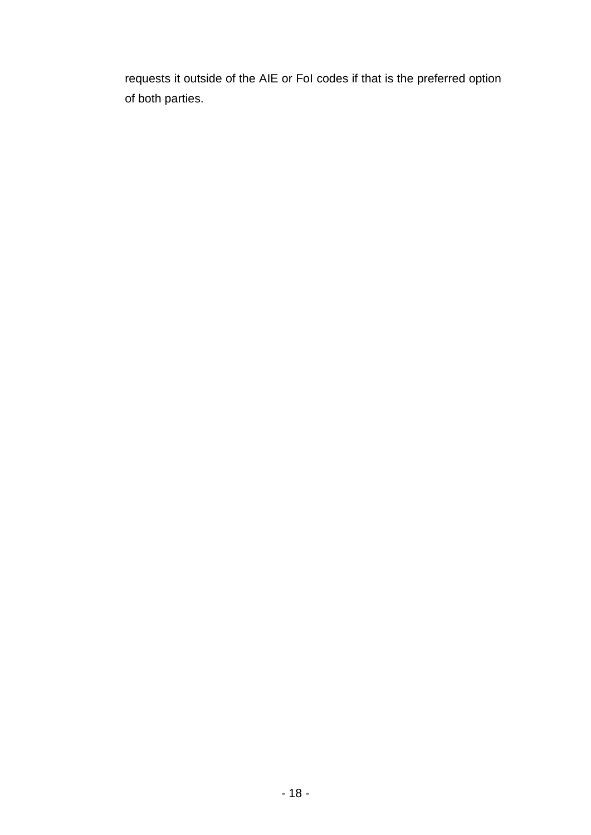requests it outside of the AIE or FoI codes if that is the preferred option of both parties.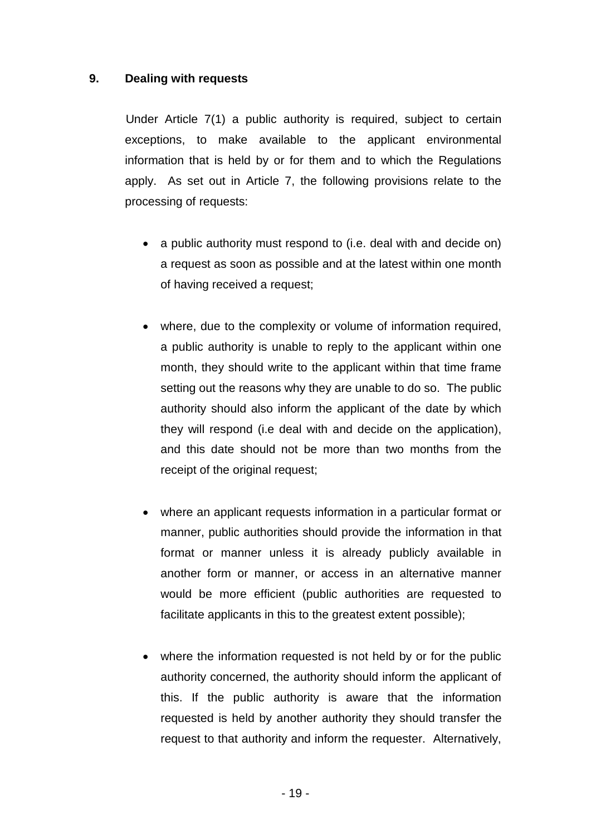## <span id="page-18-0"></span>**9. Dealing with requests**

 Under Article 7(1) a public authority is required, subject to certain exceptions, to make available to the applicant environmental information that is held by or for them and to which the Regulations apply. As set out in Article 7, the following provisions relate to the processing of requests:

- a public authority must respond to (i.e. deal with and decide on) a request as soon as possible and at the latest within one month of having received a request;
- where, due to the complexity or volume of information required, a public authority is unable to reply to the applicant within one month, they should write to the applicant within that time frame setting out the reasons why they are unable to do so. The public authority should also inform the applicant of the date by which they will respond (i.e deal with and decide on the application), and this date should not be more than two months from the receipt of the original request;
- where an applicant requests information in a particular format or manner, public authorities should provide the information in that format or manner unless it is already publicly available in another form or manner, or access in an alternative manner would be more efficient (public authorities are requested to facilitate applicants in this to the greatest extent possible);
- where the information requested is not held by or for the public authority concerned, the authority should inform the applicant of this. If the public authority is aware that the information requested is held by another authority they should transfer the request to that authority and inform the requester. Alternatively,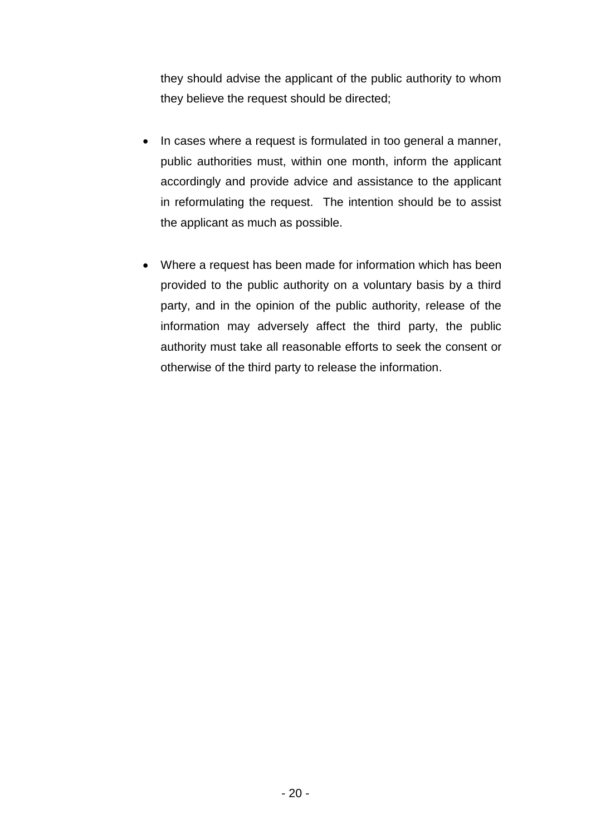they should advise the applicant of the public authority to whom they believe the request should be directed;

- In cases where a request is formulated in too general a manner, public authorities must, within one month, inform the applicant accordingly and provide advice and assistance to the applicant in reformulating the request. The intention should be to assist the applicant as much as possible.
- Where a request has been made for information which has been provided to the public authority on a voluntary basis by a third party, and in the opinion of the public authority, release of the information may adversely affect the third party, the public authority must take all reasonable efforts to seek the consent or otherwise of the third party to release the information.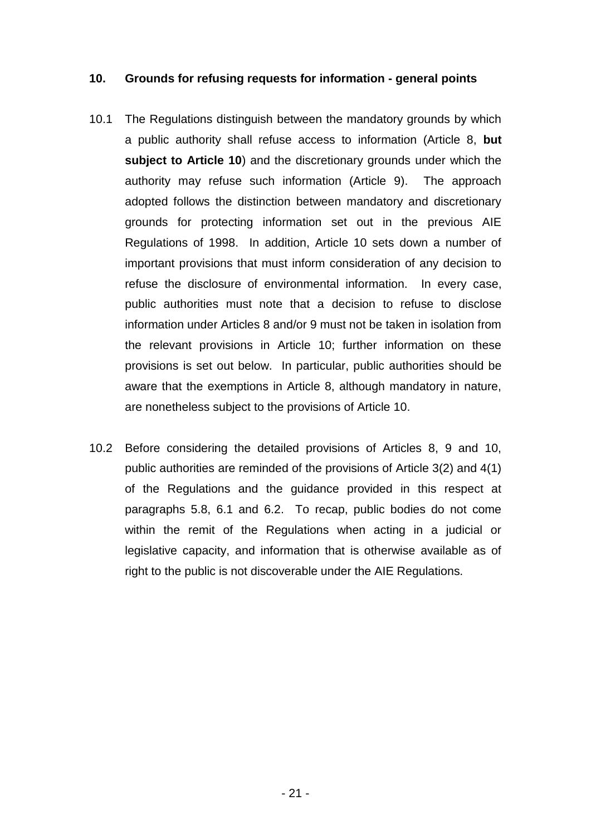#### <span id="page-20-0"></span>**10. Grounds for refusing requests for information - general points**

- 10.1 The Regulations distinguish between the mandatory grounds by which a public authority shall refuse access to information (Article 8, **but subject to Article 10**) and the discretionary grounds under which the authority may refuse such information (Article 9). The approach adopted follows the distinction between mandatory and discretionary grounds for protecting information set out in the previous AIE Regulations of 1998. In addition, Article 10 sets down a number of important provisions that must inform consideration of any decision to refuse the disclosure of environmental information.In every case, public authorities must note that a decision to refuse to disclose information under Articles 8 and/or 9 must not be taken in isolation from the relevant provisions in Article 10; further information on these provisions is set out below. In particular, public authorities should be aware that the exemptions in Article 8, although mandatory in nature, are nonetheless subject to the provisions of Article 10.
- 10.2 Before considering the detailed provisions of Articles 8, 9 and 10, public authorities are reminded of the provisions of Article 3(2) and 4(1) of the Regulations and the guidance provided in this respect at paragraphs 5.8, 6.1 and 6.2. To recap, public bodies do not come within the remit of the Regulations when acting in a judicial or legislative capacity, and information that is otherwise available as of right to the public is not discoverable under the AIE Regulations.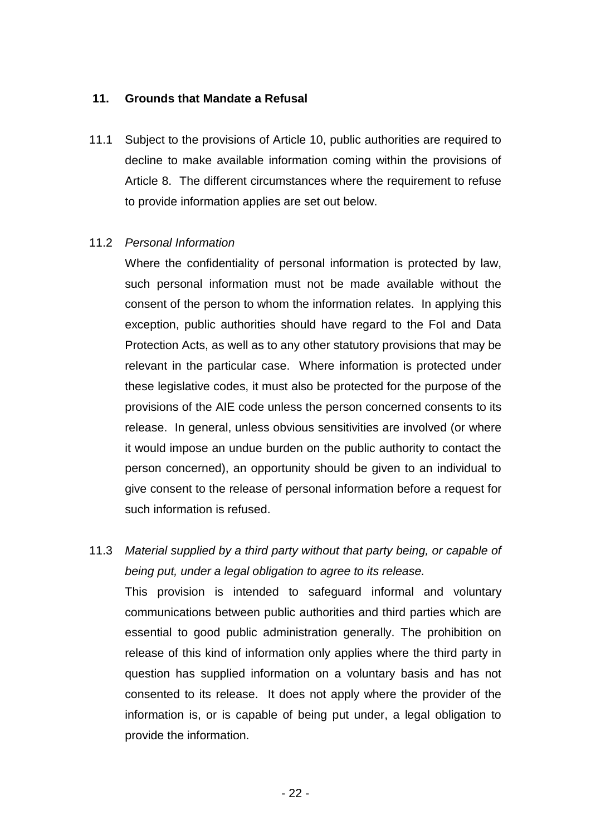# <span id="page-21-0"></span>**11. Grounds that Mandate a Refusal**

11.1 Subject to the provisions of Article 10, public authorities are required to decline to make available information coming within the provisions of Article 8. The different circumstances where the requirement to refuse to provide information applies are set out below.

#### 11.2 *Personal Information*

Where the confidentiality of personal information is protected by law, such personal information must not be made available without the consent of the person to whom the information relates. In applying this exception, public authorities should have regard to the FoI and Data Protection Acts, as well as to any other statutory provisions that may be relevant in the particular case. Where information is protected under these legislative codes, it must also be protected for the purpose of the provisions of the AIE code unless the person concerned consents to its release. In general, unless obvious sensitivities are involved (or where it would impose an undue burden on the public authority to contact the person concerned), an opportunity should be given to an individual to give consent to the release of personal information before a request for such information is refused.

11.3 *Material supplied by a third party without that party being, or capable of being put, under a legal obligation to agree to its release.*

This provision is intended to safeguard informal and voluntary communications between public authorities and third parties which are essential to good public administration generally. The prohibition on release of this kind of information only applies where the third party in question has supplied information on a voluntary basis and has not consented to its release. It does not apply where the provider of the information is, or is capable of being put under, a legal obligation to provide the information.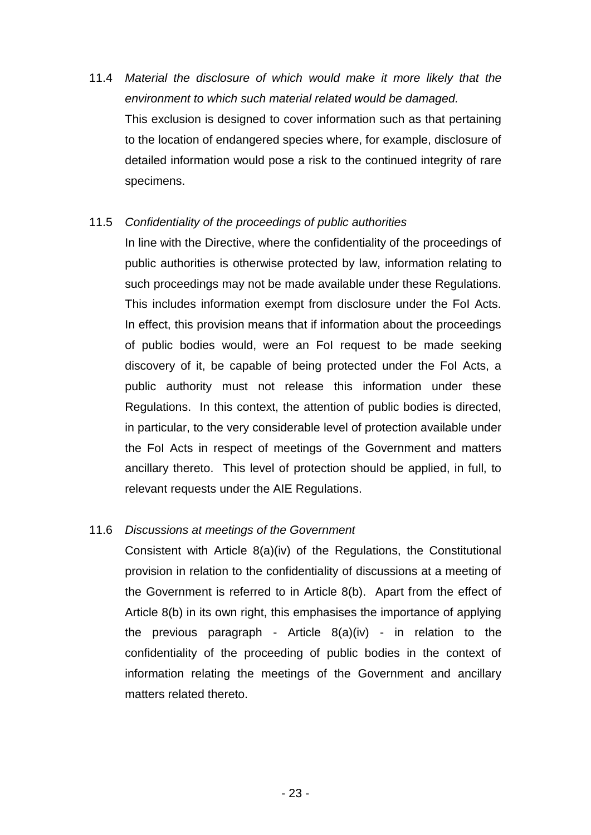11.4 *Material the disclosure of which would make it more likely that the environment to which such material related would be damaged.* This exclusion is designed to cover information such as that pertaining to the location of endangered species where, for example, disclosure of detailed information would pose a risk to the continued integrity of rare specimens.

# 11.5 *Confidentiality of the proceedings of public authorities*

In line with the Directive, where the confidentiality of the proceedings of public authorities is otherwise protected by law, information relating to such proceedings may not be made available under these Regulations. This includes information exempt from disclosure under the FoI Acts. In effect, this provision means that if information about the proceedings of public bodies would, were an FoI request to be made seeking discovery of it, be capable of being protected under the FoI Acts, a public authority must not release this information under these Regulations. In this context, the attention of public bodies is directed, in particular, to the very considerable level of protection available under the FoI Acts in respect of meetings of the Government and matters ancillary thereto. This level of protection should be applied, in full, to relevant requests under the AIE Regulations.

# 11.6 *Discussions at meetings of the Government*

Consistent with Article 8(a)(iv) of the Regulations, the Constitutional provision in relation to the confidentiality of discussions at a meeting of the Government is referred to in Article 8(b). Apart from the effect of Article 8(b) in its own right, this emphasises the importance of applying the previous paragraph - Article 8(a)(iv) - in relation to the confidentiality of the proceeding of public bodies in the context of information relating the meetings of the Government and ancillary matters related thereto.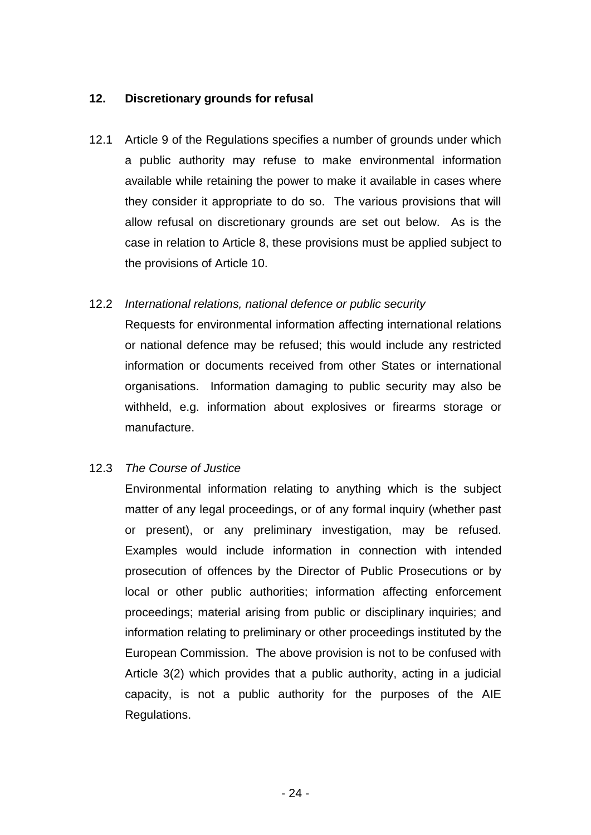# <span id="page-23-0"></span>**12. Discretionary grounds for refusal**

12.1 Article 9 of the Regulations specifies a number of grounds under which a public authority may refuse to make environmental information available while retaining the power to make it available in cases where they consider it appropriate to do so. The various provisions that will allow refusal on discretionary grounds are set out below. As is the case in relation to Article 8, these provisions must be applied subject to the provisions of Article 10.

# 12.2 *International relations, national defence or public security*

Requests for environmental information affecting international relations or national defence may be refused; this would include any restricted information or documents received from other States or international organisations. Information damaging to public security may also be withheld, e.g. information about explosives or firearms storage or manufacture.

# 12.3 *The Course of Justice*

Environmental information relating to anything which is the subject matter of any legal proceedings, or of any formal inquiry (whether past or present), or any preliminary investigation, may be refused. Examples would include information in connection with intended prosecution of offences by the Director of Public Prosecutions or by local or other public authorities; information affecting enforcement proceedings; material arising from public or disciplinary inquiries; and information relating to preliminary or other proceedings instituted by the European Commission. The above provision is not to be confused with Article 3(2) which provides that a public authority, acting in a judicial capacity, is not a public authority for the purposes of the AIE Regulations.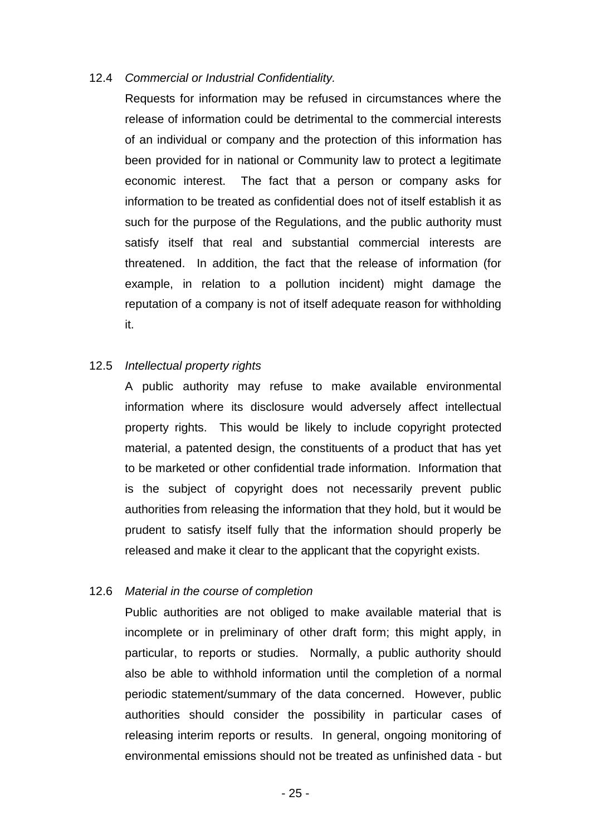#### 12.4 *Commercial or Industrial Confidentiality.*

Requests for information may be refused in circumstances where the release of information could be detrimental to the commercial interests of an individual or company and the protection of this information has been provided for in national or Community law to protect a legitimate economic interest. The fact that a person or company asks for information to be treated as confidential does not of itself establish it as such for the purpose of the Regulations, and the public authority must satisfy itself that real and substantial commercial interests are threatened. In addition, the fact that the release of information (for example, in relation to a pollution incident) might damage the reputation of a company is not of itself adequate reason for withholding it.

#### 12.5 *Intellectual property rights*

A public authority may refuse to make available environmental information where its disclosure would adversely affect intellectual property rights. This would be likely to include copyright protected material, a patented design, the constituents of a product that has yet to be marketed or other confidential trade information. Information that is the subject of copyright does not necessarily prevent public authorities from releasing the information that they hold, but it would be prudent to satisfy itself fully that the information should properly be released and make it clear to the applicant that the copyright exists.

#### 12.6 *Material in the course of completion*

Public authorities are not obliged to make available material that is incomplete or in preliminary of other draft form; this might apply, in particular, to reports or studies. Normally, a public authority should also be able to withhold information until the completion of a normal periodic statement/summary of the data concerned. However, public authorities should consider the possibility in particular cases of releasing interim reports or results. In general, ongoing monitoring of environmental emissions should not be treated as unfinished data - but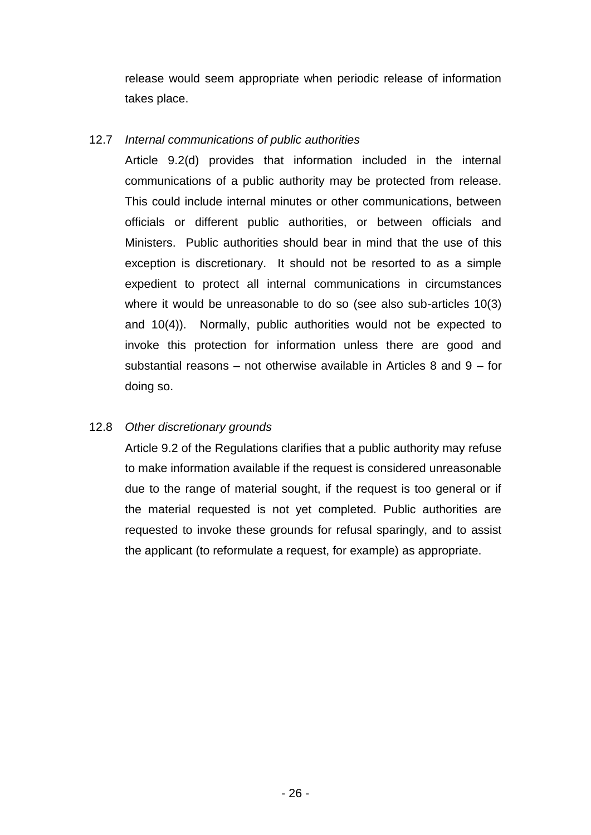release would seem appropriate when periodic release of information takes place.

# 12.7 *Internal communications of public authorities*

Article 9.2(d) provides that information included in the internal communications of a public authority may be protected from release. This could include internal minutes or other communications, between officials or different public authorities, or between officials and Ministers. Public authorities should bear in mind that the use of this exception is discretionary. It should not be resorted to as a simple expedient to protect all internal communications in circumstances where it would be unreasonable to do so (see also sub-articles 10(3) and 10(4)). Normally, public authorities would not be expected to invoke this protection for information unless there are good and substantial reasons – not otherwise available in Articles 8 and  $9 -$  for doing so.

# 12.8 *Other discretionary grounds*

Article 9.2 of the Regulations clarifies that a public authority may refuse to make information available if the request is considered unreasonable due to the range of material sought, if the request is too general or if the material requested is not yet completed. Public authorities are requested to invoke these grounds for refusal sparingly, and to assist the applicant (to reformulate a request, for example) as appropriate.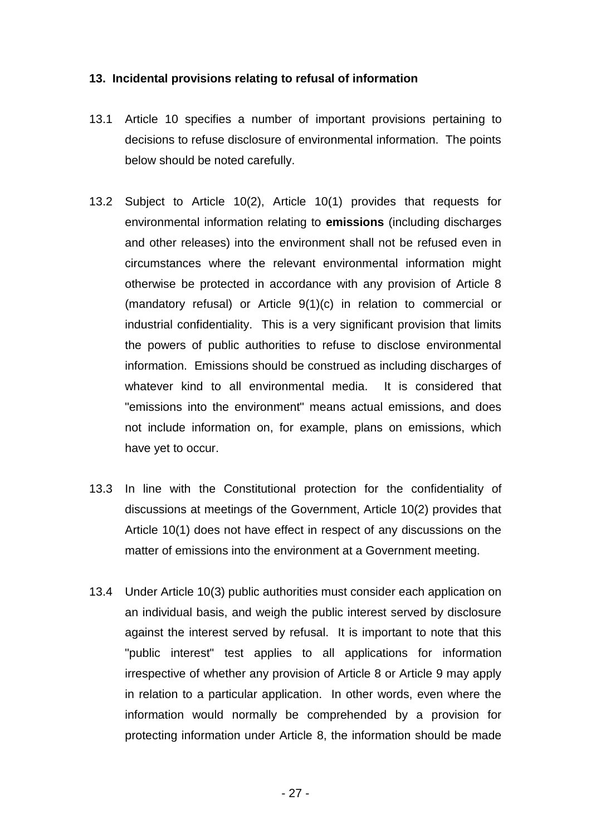#### <span id="page-26-0"></span>**13. Incidental provisions relating to refusal of information**

- 13.1 Article 10 specifies a number of important provisions pertaining to decisions to refuse disclosure of environmental information. The points below should be noted carefully.
- 13.2 Subject to Article 10(2), Article 10(1) provides that requests for environmental information relating to **emissions** (including discharges and other releases) into the environment shall not be refused even in circumstances where the relevant environmental information might otherwise be protected in accordance with any provision of Article 8 (mandatory refusal) or Article 9(1)(c) in relation to commercial or industrial confidentiality. This is a very significant provision that limits the powers of public authorities to refuse to disclose environmental information. Emissions should be construed as including discharges of whatever kind to all environmental media. It is considered that "emissions into the environment" means actual emissions, and does not include information on, for example, plans on emissions, which have yet to occur.
- 13.3 In line with the Constitutional protection for the confidentiality of discussions at meetings of the Government, Article 10(2) provides that Article 10(1) does not have effect in respect of any discussions on the matter of emissions into the environment at a Government meeting.
- 13.4 Under Article 10(3) public authorities must consider each application on an individual basis, and weigh the public interest served by disclosure against the interest served by refusal. It is important to note that this "public interest" test applies to all applications for information irrespective of whether any provision of Article 8 or Article 9 may apply in relation to a particular application. In other words, even where the information would normally be comprehended by a provision for protecting information under Article 8, the information should be made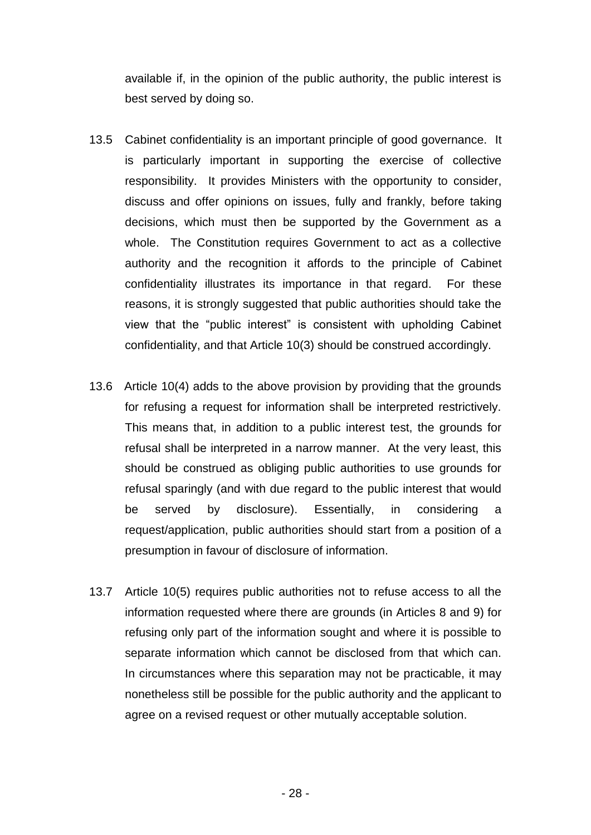available if, in the opinion of the public authority, the public interest is best served by doing so.

- 13.5 Cabinet confidentiality is an important principle of good governance. It is particularly important in supporting the exercise of collective responsibility. It provides Ministers with the opportunity to consider, discuss and offer opinions on issues, fully and frankly, before taking decisions, which must then be supported by the Government as a whole. The Constitution requires Government to act as a collective authority and the recognition it affords to the principle of Cabinet confidentiality illustrates its importance in that regard. For these reasons, it is strongly suggested that public authorities should take the view that the "public interest" is consistent with upholding Cabinet confidentiality, and that Article 10(3) should be construed accordingly.
- 13.6 Article 10(4) adds to the above provision by providing that the grounds for refusing a request for information shall be interpreted restrictively. This means that, in addition to a public interest test, the grounds for refusal shall be interpreted in a narrow manner. At the very least, this should be construed as obliging public authorities to use grounds for refusal sparingly (and with due regard to the public interest that would be served by disclosure). Essentially, in considering a request/application, public authorities should start from a position of a presumption in favour of disclosure of information.
- 13.7 Article 10(5) requires public authorities not to refuse access to all the information requested where there are grounds (in Articles 8 and 9) for refusing only part of the information sought and where it is possible to separate information which cannot be disclosed from that which can. In circumstances where this separation may not be practicable, it may nonetheless still be possible for the public authority and the applicant to agree on a revised request or other mutually acceptable solution.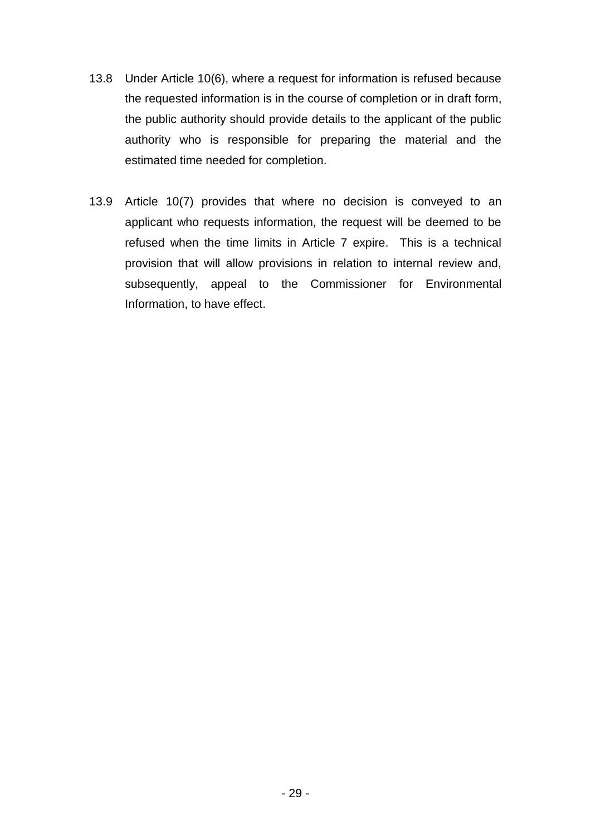- 13.8 Under Article 10(6), where a request for information is refused because the requested information is in the course of completion or in draft form, the public authority should provide details to the applicant of the public authority who is responsible for preparing the material and the estimated time needed for completion.
- 13.9 Article 10(7) provides that where no decision is conveyed to an applicant who requests information, the request will be deemed to be refused when the time limits in Article 7 expire. This is a technical provision that will allow provisions in relation to internal review and, subsequently, appeal to the Commissioner for Environmental Information, to have effect.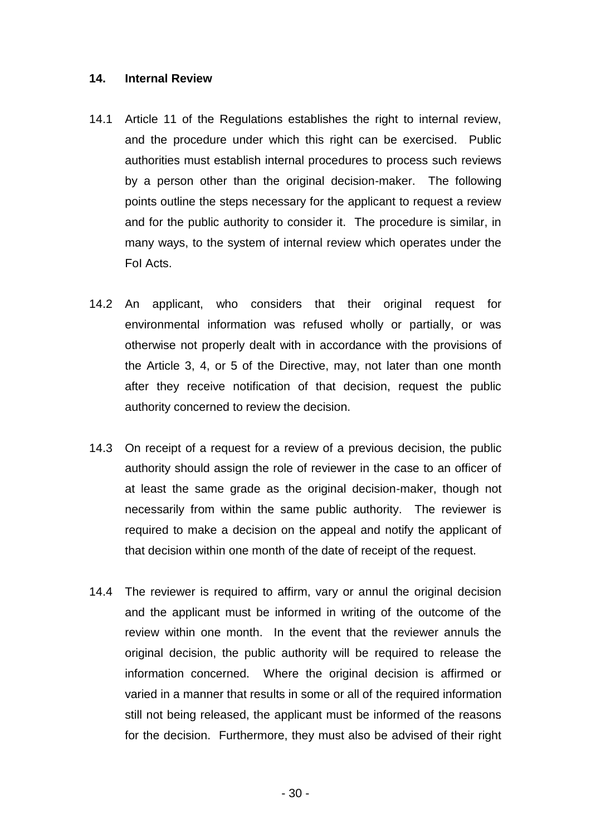#### <span id="page-29-0"></span>**14. Internal Review**

- 14.1 Article 11 of the Regulations establishes the right to internal review, and the procedure under which this right can be exercised. Public authorities must establish internal procedures to process such reviews by a person other than the original decision-maker. The following points outline the steps necessary for the applicant to request a review and for the public authority to consider it. The procedure is similar, in many ways, to the system of internal review which operates under the FoI Acts.
- 14.2 An applicant, who considers that their original request for environmental information was refused wholly or partially, or was otherwise not properly dealt with in accordance with the provisions of the Article 3, 4, or 5 of the Directive, may, not later than one month after they receive notification of that decision, request the public authority concerned to review the decision.
- 14.3 On receipt of a request for a review of a previous decision, the public authority should assign the role of reviewer in the case to an officer of at least the same grade as the original decision-maker, though not necessarily from within the same public authority. The reviewer is required to make a decision on the appeal and notify the applicant of that decision within one month of the date of receipt of the request.
- 14.4 The reviewer is required to affirm, vary or annul the original decision and the applicant must be informed in writing of the outcome of the review within one month. In the event that the reviewer annuls the original decision, the public authority will be required to release the information concerned. Where the original decision is affirmed or varied in a manner that results in some or all of the required information still not being released, the applicant must be informed of the reasons for the decision. Furthermore, they must also be advised of their right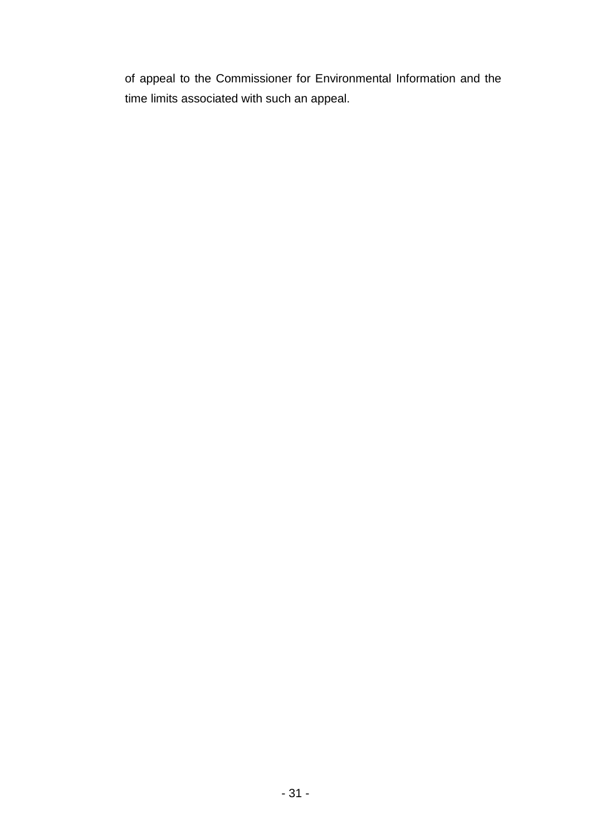of appeal to the Commissioner for Environmental Information and the time limits associated with such an appeal.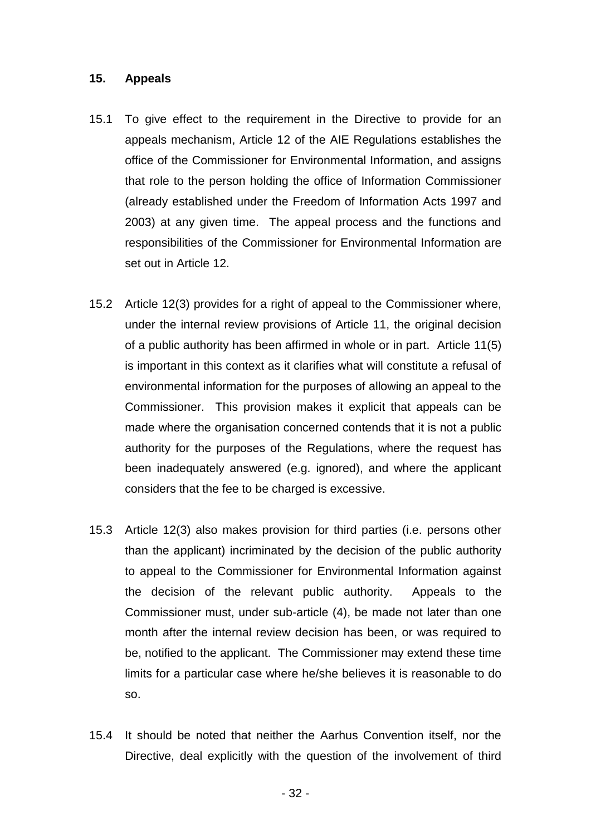#### <span id="page-31-0"></span>**15. Appeals**

- 15.1 To give effect to the requirement in the Directive to provide for an appeals mechanism, Article 12 of the AIE Regulations establishes the office of the Commissioner for Environmental Information, and assigns that role to the person holding the office of Information Commissioner (already established under the Freedom of Information Acts 1997 and 2003) at any given time. The appeal process and the functions and responsibilities of the Commissioner for Environmental Information are set out in Article 12.
- 15.2 Article 12(3) provides for a right of appeal to the Commissioner where, under the internal review provisions of Article 11, the original decision of a public authority has been affirmed in whole or in part. Article 11(5) is important in this context as it clarifies what will constitute a refusal of environmental information for the purposes of allowing an appeal to the Commissioner. This provision makes it explicit that appeals can be made where the organisation concerned contends that it is not a public authority for the purposes of the Regulations, where the request has been inadequately answered (e.g. ignored), and where the applicant considers that the fee to be charged is excessive.
- 15.3 Article 12(3) also makes provision for third parties (i.e. persons other than the applicant) incriminated by the decision of the public authority to appeal to the Commissioner for Environmental Information against the decision of the relevant public authority. Appeals to the Commissioner must, under sub-article (4), be made not later than one month after the internal review decision has been, or was required to be, notified to the applicant. The Commissioner may extend these time limits for a particular case where he/she believes it is reasonable to do so.
- 15.4 It should be noted that neither the Aarhus Convention itself, nor the Directive, deal explicitly with the question of the involvement of third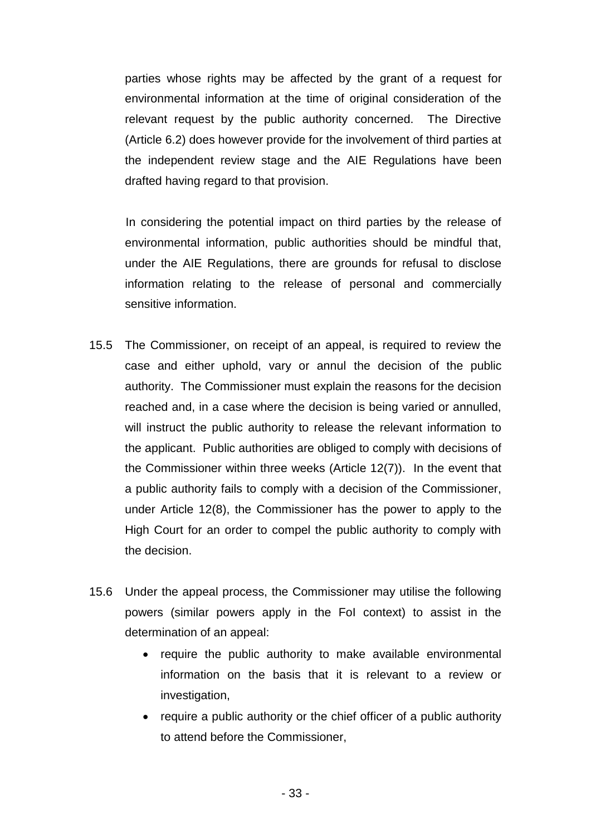parties whose rights may be affected by the grant of a request for environmental information at the time of original consideration of the relevant request by the public authority concerned. The Directive (Article 6.2) does however provide for the involvement of third parties at the independent review stage and the AIE Regulations have been drafted having regard to that provision.

 In considering the potential impact on third parties by the release of environmental information, public authorities should be mindful that, under the AIE Regulations, there are grounds for refusal to disclose information relating to the release of personal and commercially sensitive information.

- 15.5 The Commissioner, on receipt of an appeal, is required to review the case and either uphold, vary or annul the decision of the public authority. The Commissioner must explain the reasons for the decision reached and, in a case where the decision is being varied or annulled, will instruct the public authority to release the relevant information to the applicant. Public authorities are obliged to comply with decisions of the Commissioner within three weeks (Article 12(7)). In the event that a public authority fails to comply with a decision of the Commissioner, under Article 12(8), the Commissioner has the power to apply to the High Court for an order to compel the public authority to comply with the decision.
- 15.6 Under the appeal process, the Commissioner may utilise the following powers (similar powers apply in the FoI context) to assist in the determination of an appeal:
	- require the public authority to make available environmental information on the basis that it is relevant to a review or investigation,
	- require a public authority or the chief officer of a public authority to attend before the Commissioner,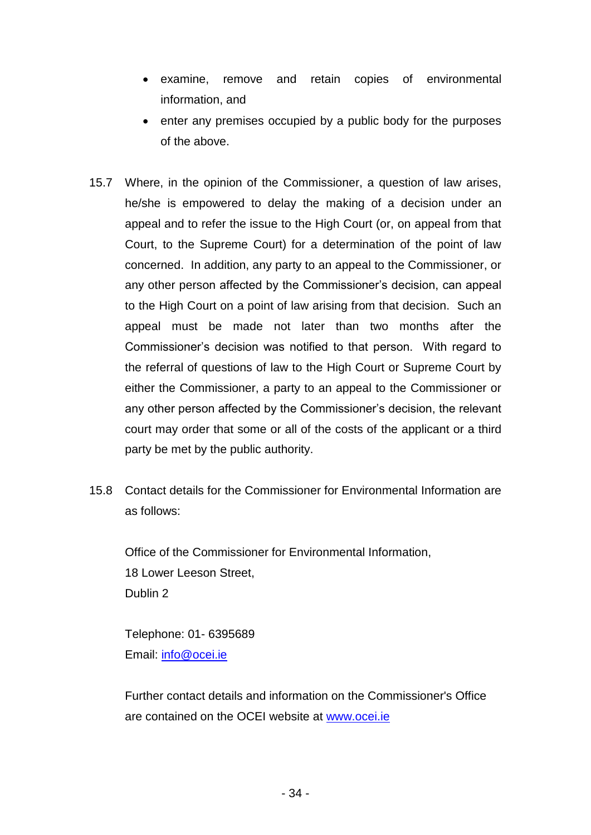- examine, remove and retain copies of environmental information, and
- enter any premises occupied by a public body for the purposes of the above.
- 15.7 Where, in the opinion of the Commissioner, a question of law arises, he/she is empowered to delay the making of a decision under an appeal and to refer the issue to the High Court (or, on appeal from that Court, to the Supreme Court) for a determination of the point of law concerned. In addition, any party to an appeal to the Commissioner, or any other person affected by the Commissioner's decision, can appeal to the High Court on a point of law arising from that decision. Such an appeal must be made not later than two months after the Commissioner's decision was notified to that person. With regard to the referral of questions of law to the High Court or Supreme Court by either the Commissioner, a party to an appeal to the Commissioner or any other person affected by the Commissioner's decision, the relevant court may order that some or all of the costs of the applicant or a third party be met by the public authority.
- 15.8 Contact details for the Commissioner for Environmental Information are as follows:

Office of the Commissioner for Environmental Information, 18 Lower Leeson Street, Dublin 2

Telephone: 01- 6395689 Email: [info@ocei.ie](mailto:info@ocei.ie)

Further contact details and information on the Commissioner's Office are contained on the OCEI website at [www.ocei.ie](http://www.ocei.ie/)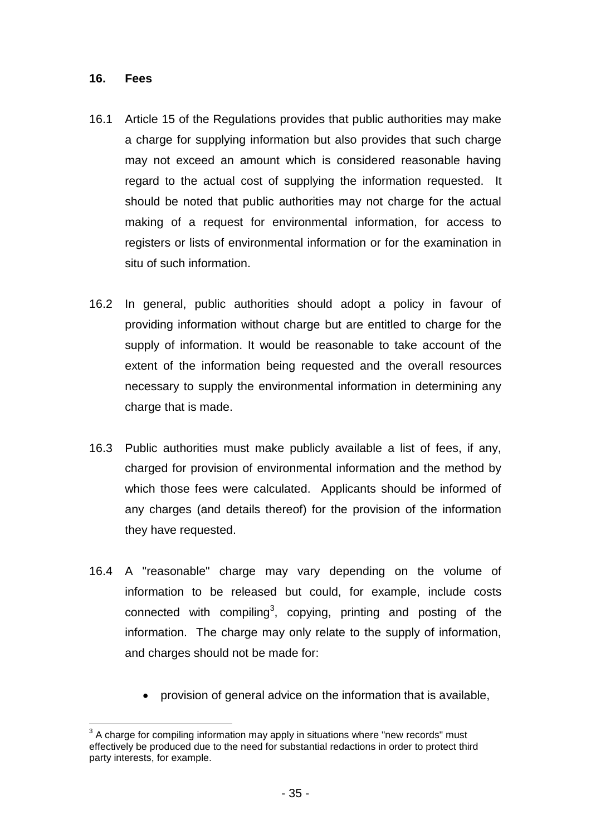#### <span id="page-34-0"></span>**16. Fees**

- 16.1 Article 15 of the Regulations provides that public authorities may make a charge for supplying information but also provides that such charge may not exceed an amount which is considered reasonable having regard to the actual cost of supplying the information requested. It should be noted that public authorities may not charge for the actual making of a request for environmental information, for access to registers or lists of environmental information or for the examination in situ of such information.
- 16.2 In general, public authorities should adopt a policy in favour of providing information without charge but are entitled to charge for the supply of information. It would be reasonable to take account of the extent of the information being requested and the overall resources necessary to supply the environmental information in determining any charge that is made.
- 16.3 Public authorities must make publicly available a list of fees, if any, charged for provision of environmental information and the method by which those fees were calculated. Applicants should be informed of any charges (and details thereof) for the provision of the information they have requested.
- 16.4 A "reasonable" charge may vary depending on the volume of information to be released but could, for example, include costs connected with compiling<sup>3</sup>, copying, printing and posting of the information. The charge may only relate to the supply of information, and charges should not be made for:
	- provision of general advice on the information that is available,

l  $3$  A charge for compiling information may apply in situations where "new records" must effectively be produced due to the need for substantial redactions in order to protect third party interests, for example.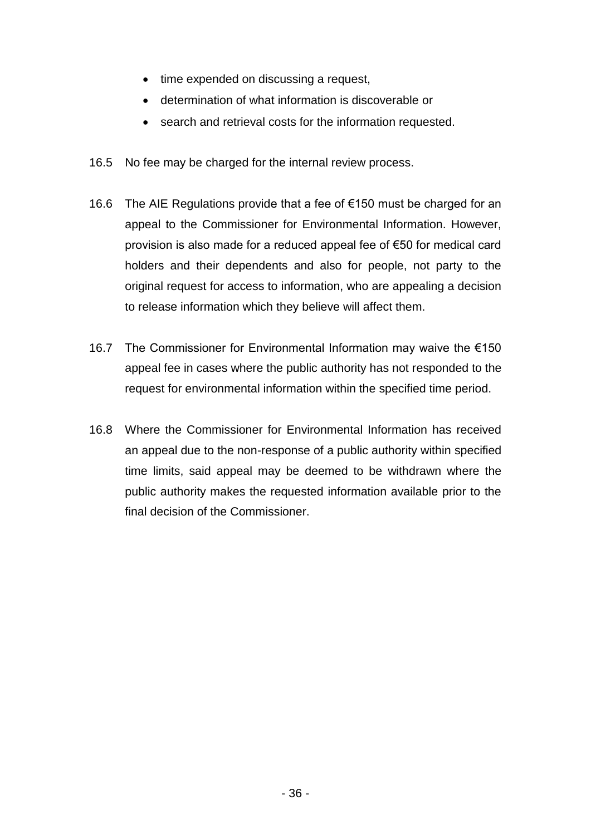- time expended on discussing a request,
- determination of what information is discoverable or
- search and retrieval costs for the information requested.
- 16.5 No fee may be charged for the internal review process.
- 16.6 The AIE Regulations provide that a fee of €150 must be charged for an appeal to the Commissioner for Environmental Information. However, provision is also made for a reduced appeal fee of €50 for medical card holders and their dependents and also for people, not party to the original request for access to information, who are appealing a decision to release information which they believe will affect them.
- 16.7 The Commissioner for Environmental Information may waive the €150 appeal fee in cases where the public authority has not responded to the request for environmental information within the specified time period.
- 16.8 Where the Commissioner for Environmental Information has received an appeal due to the non-response of a public authority within specified time limits, said appeal may be deemed to be withdrawn where the public authority makes the requested information available prior to the final decision of the Commissioner.